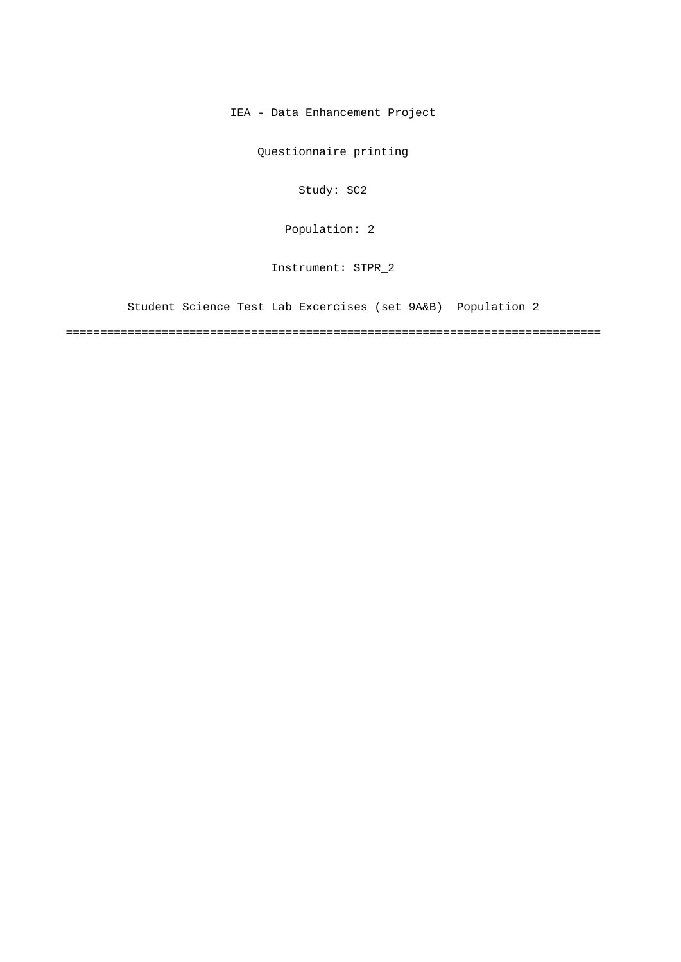IEA - Data Enhancement Project

Questionnaire printing

Study: SC2

[Population: 2](#page-1-0) 

Instrument: STPR\_2

[Student Science Test Lab Excercises \(set 9A&B\) Population 2](#page-1-0)

==============================================================================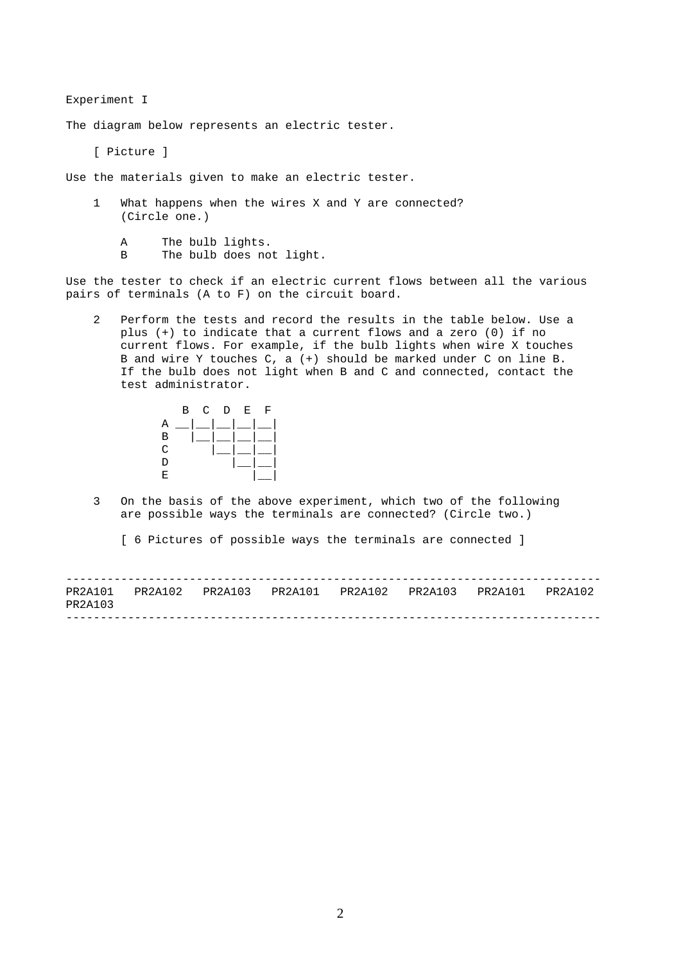<span id="page-1-0"></span>Experiment I

The diagram below represents an electric tester.

[ Picture ]

Use the materials given to make an electric tester.

- 1 What happens when the wires X and Y are connected? (Circle one.)
	- A The bulb lights.
	- B The bulb does not light.

Use the tester to check if an electric current flows between all the various pairs of terminals (A to F) on the circuit board.

2 Perform the tests and record the results in the table below. Use a plus (+) to indicate that a current flows and a zero (0) if no current flows. For example, if the bulb lights when wire X touches B and wire Y touches C, a (+) should be marked under C on line B. If the bulb does not light when B and C and connected, contact the test administrator.



3 On the basis of the above experiment, which two of the following are possible ways the terminals are connected? (Circle two.)

[ 6 Pictures of possible ways the terminals are connected ]

| PR2A103 |  | PR2A101 PR2A102 PR2A103 PR2A101 PR2A102 PR2A103 PR2A101 PR2A102 |  |  |
|---------|--|-----------------------------------------------------------------|--|--|
|         |  |                                                                 |  |  |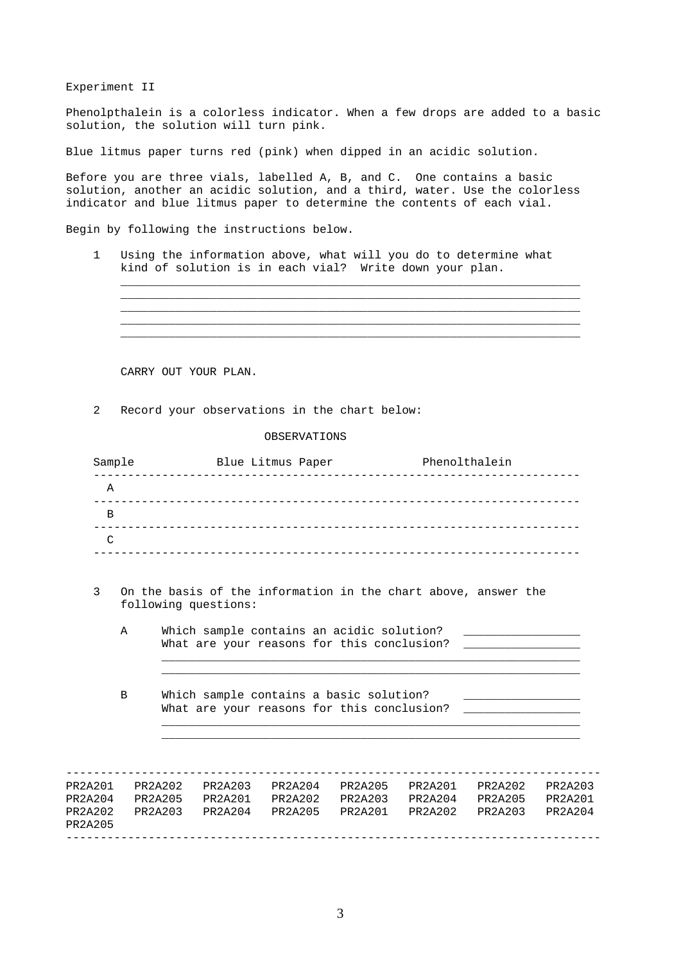Experiment II

Phenolpthalein is a colorless indicator. When a few drops are added to a basic solution, the solution will turn pink.

Blue litmus paper turns red (pink) when dipped in an acidic solution.

Before you are three vials, labelled A, B, and C. One contains a basic solution, another an acidic solution, and a third, water. Use the colorless indicator and blue litmus paper to determine the contents of each vial.

Begin by following the instructions below.

1 Using the information above, what will you do to determine what kind of solution is in each vial? Write down your plan.

 $\_$  ,  $\_$  ,  $\_$  ,  $\_$  ,  $\_$  ,  $\_$  ,  $\_$  ,  $\_$  ,  $\_$  ,  $\_$  ,  $\_$  ,  $\_$  ,  $\_$  ,  $\_$  ,  $\_$  ,  $\_$  ,  $\_$  ,  $\_$  ,  $\_$  ,  $\_$  ,  $\_$  ,  $\_$  ,  $\_$  ,  $\_$  ,  $\_$  ,  $\_$  ,  $\_$  ,  $\_$  ,  $\_$  ,  $\_$  ,  $\_$  ,  $\_$  ,  $\_$  ,  $\_$  ,  $\_$  ,  $\_$  ,  $\_$  ,  $\_$  ,  $\_$  ,  $\_$  ,  $\_$  ,  $\_$  ,  $\_$  ,  $\_$  ,  $\_$  ,  $\_$  ,  $\_$  ,  $\_$  ,  $\_$  ,  $\_$  ,  $\_$  ,  $\_$  ,  $\_$  ,  $\_$  ,  $\_$  ,  $\_$  ,  $\_$  ,  $\_$  ,  $\_$  ,  $\_$  ,  $\_$  ,  $\_$  ,  $\_$  ,  $\_$  ,  $\_$  ,  $\_$  ,  $\_$  ,  $\_$  ,  $\_$  ,  $\_$  ,  $\_$  ,  $\_$  ,  $\_$  ,  $\_$  ,  $\_$  ,  $\_$  ,  $\_$  ,  $\_$  ,  $\_$  ,  $\_$  ,  $\_$  ,  $\_$  ,  $\_$  ,  $\_$  ,  $\_$  ,  $\_$  ,  $\_$  ,  $\_$  ,  $\_$  ,  $\_$  ,  $\_$  ,  $\_$  ,  $\_$  ,  $\_$  ,  $\_$  ,  $\_$  ,  $\_$  ,  $\_$  ,  $\_$  ,  $\_$  ,  $\_$  ,  $\_$  ,  $\_$  ,  $\_$  ,  $\_$  ,  $\_$  ,  $\_$  ,  $\_$  ,  $\_$  ,  $\_$  ,  $\_$  , \_\_\_\_\_\_\_\_\_\_\_\_\_\_\_\_\_\_\_\_\_\_\_\_\_\_\_\_\_\_\_\_\_\_\_\_\_\_\_\_\_\_\_\_\_\_\_\_\_\_\_\_\_\_\_\_\_\_\_\_\_\_\_\_\_\_\_ \_\_\_\_\_\_\_\_\_\_\_\_\_\_\_\_\_\_\_\_\_\_\_\_\_\_\_\_\_\_\_\_\_\_\_\_\_\_\_\_\_\_\_\_\_\_\_\_\_\_\_\_\_\_\_\_\_\_\_\_\_\_\_\_\_\_\_

CARRY OUT YOUR PLAN.

2 Record your observations in the chart below:

OBSERVATIONS

| Sample                    |   |                                                                                         |                      | Blue Litmus Paper<br>Phenolthalein |                                                                                       |                                                                                                                                    |  |  |
|---------------------------|---|-----------------------------------------------------------------------------------------|----------------------|------------------------------------|---------------------------------------------------------------------------------------|------------------------------------------------------------------------------------------------------------------------------------|--|--|
| $\mathbf{A}$              |   |                                                                                         |                      |                                    |                                                                                       |                                                                                                                                    |  |  |
| $\mathbf B$               |   |                                                                                         |                      |                                    |                                                                                       |                                                                                                                                    |  |  |
| $\mathcal{C}$             |   |                                                                                         |                      |                                    |                                                                                       |                                                                                                                                    |  |  |
|                           |   |                                                                                         |                      |                                    |                                                                                       |                                                                                                                                    |  |  |
| 3                         |   |                                                                                         | following questions: |                                    |                                                                                       | On the basis of the information in the chart above, answer the                                                                     |  |  |
|                           | A | Which sample contains an acidic solution?<br>What are your reasons for this conclusion? |                      |                                    |                                                                                       |                                                                                                                                    |  |  |
|                           | B |                                                                                         |                      |                                    | Which sample contains a basic solution?<br>What are your reasons for this conclusion? |                                                                                                                                    |  |  |
|                           |   |                                                                                         |                      |                                    |                                                                                       |                                                                                                                                    |  |  |
|                           |   |                                                                                         |                      |                                    |                                                                                       | PR2A201 PR2A202 PR2A203 PR2A204 PR2A205 PR2A201 PR2A202 PR2A203<br>PR2A204 PR2A205 PR2A201 PR2A202 PR2A203 PR2A204 PR2A205 PR2A201 |  |  |
| PR2A202<br><b>PR2A205</b> |   |                                                                                         |                      |                                    |                                                                                       |                                                                                                                                    |  |  |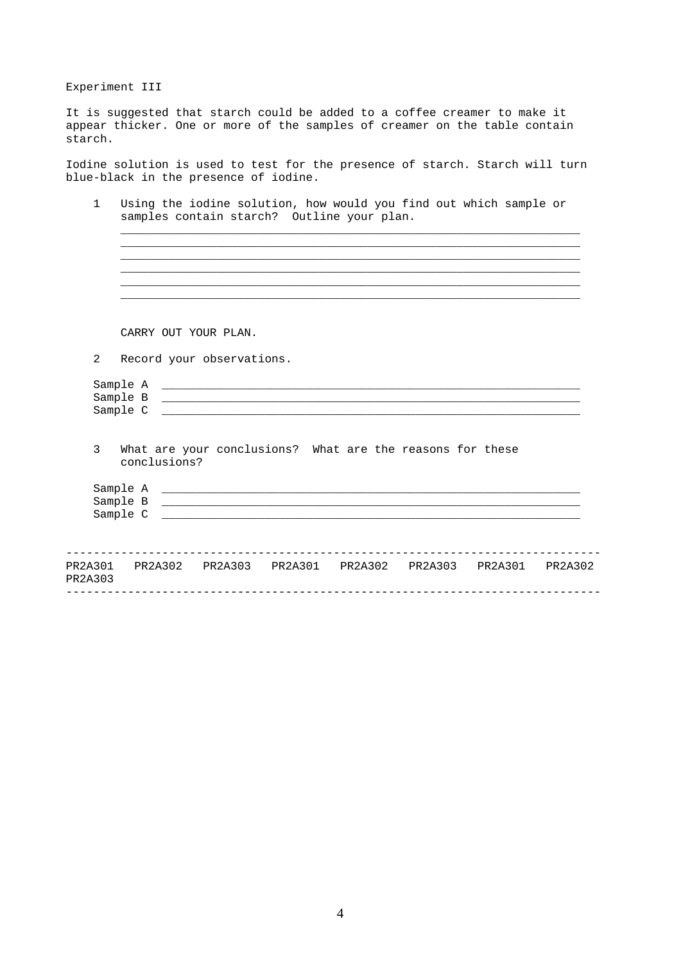Experiment III

It is suggested that starch could be added to a coffee creamer to make it appear thicker. One or more of the samples of creamer on the table contain starch.

Iodine solution is used to test for the presence of starch. Starch will turn blue-black in the presence of iodine.

|   | CARRY OUT YOUR PLAN.                                                                                                                          |
|---|-----------------------------------------------------------------------------------------------------------------------------------------------|
| 2 | Record your observations.                                                                                                                     |
|   | Sample B<br>Sample C<br><u> 1989 - Johann Stoff, deutscher Stoff, der Stoff, der Stoff, der Stoff, der Stoff, der Stoff, der Stoff, der S</u> |
|   |                                                                                                                                               |
| 3 | What are your conclusions? What are the reasons for these<br>conclusions?                                                                     |
|   | Sample C                                                                                                                                      |

4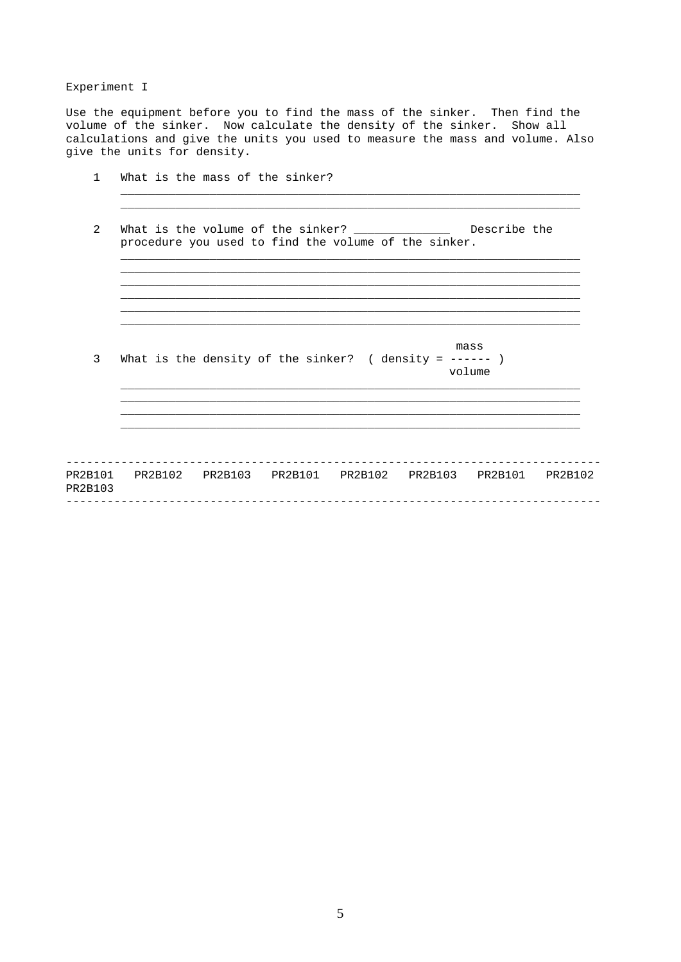## Experiment I

Use the equipment before you to find the mass of the sinker. Then find the volume of the sinker. Now calculate the density of the sinker. Show all calculations and give the units you used to measure the mass and volume. Also give the units for density.

| 3 | mass<br>What is the density of the sinker? ( density = $---$ )<br>volume                                                  |
|---|---------------------------------------------------------------------------------------------------------------------------|
|   |                                                                                                                           |
|   |                                                                                                                           |
| 2 | What is the volume of the sinker? __________________ Describe the<br>procedure you used to find the volume of the sinker. |
|   |                                                                                                                           |

5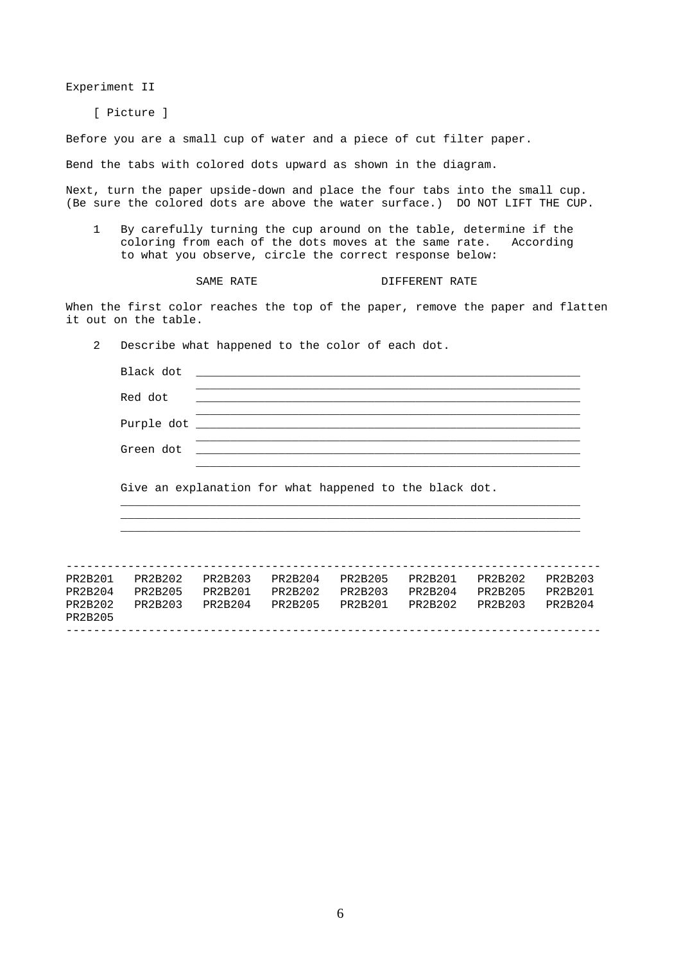Experiment II

[ Picture ]

Before you are a small cup of water and a piece of cut filter paper.

Bend the tabs with colored dots upward as shown in the diagram.

Next, turn the paper upside-down and place the four tabs into the small cup. (Be sure the colored dots are above the water surface.) DO NOT LIFT THE CUP.

1 By carefully turning the cup around on the table, determine if the coloring from each of the dots moves at the same rate. According to what you observe, circle the correct response below:

SAME RATE **DIFFERENT** RATE

When the first color reaches the top of the paper, remove the paper and flatten it out on the table.

2 Describe what happened to the color of each dot.

|                               | Black dot                                                                                                                                                                                                                      |                    |                    |                    |                    |                    |                    |
|-------------------------------|--------------------------------------------------------------------------------------------------------------------------------------------------------------------------------------------------------------------------------|--------------------|--------------------|--------------------|--------------------|--------------------|--------------------|
|                               | Red dot                                                                                                                                                                                                                        |                    |                    |                    |                    |                    |                    |
|                               | Purple dot the contract of the contract of the contract of the contract of the contract of the contract of the contract of the contract of the contract of the contract of the contract of the contract of the contract of the |                    |                    |                    |                    |                    |                    |
|                               | Green dot                                                                                                                                                                                                                      |                    |                    |                    |                    |                    |                    |
|                               | Give an explanation for what happened to the black dot.                                                                                                                                                                        |                    |                    |                    |                    |                    |                    |
| PR2B201                       | PR2B202                                                                                                                                                                                                                        | PR2B203            | PR2B204            | PR2B205            | PR2B201            | PR2B202            | PR2B203            |
| PR2B204<br>PR2B202<br>PR2B205 | PR2B205<br>PR2B203                                                                                                                                                                                                             | PR2B201<br>PR2B204 | PR2B202<br>PR2B205 | PR2B203<br>PR2B201 | PR2B204<br>PR2B202 | PR2B205<br>PR2B203 | PR2B201<br>PR2B204 |